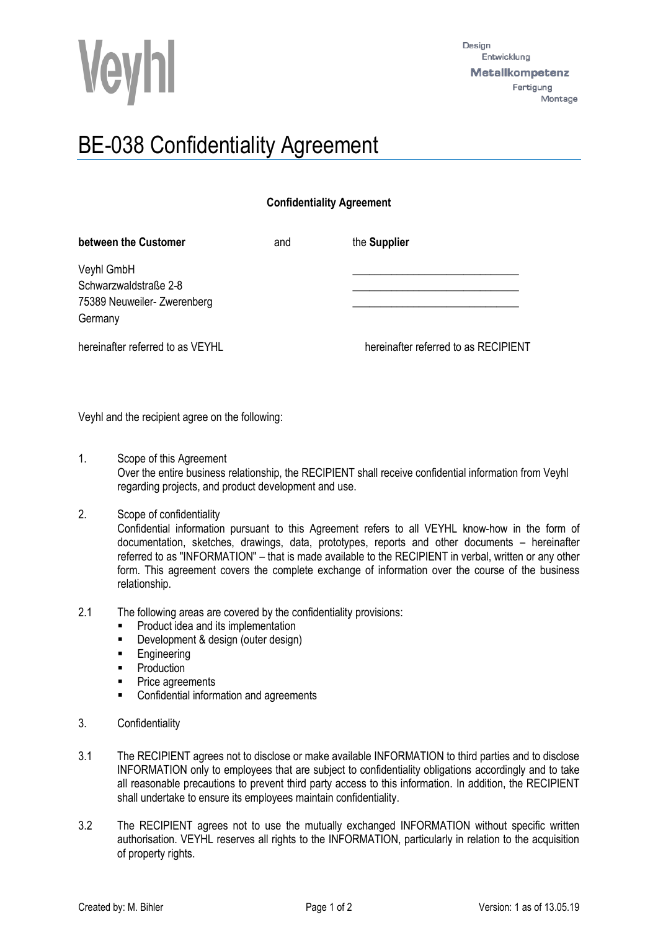

## BE-038 Confidentiality Agreement

## **Confidentiality Agreement**

| between the Customer             | and | the Supplier                         |  |
|----------------------------------|-----|--------------------------------------|--|
| Veyhl GmbH                       |     |                                      |  |
| Schwarzwaldstraße 2-8            |     |                                      |  |
| 75389 Neuweiler- Zwerenberg      |     |                                      |  |
| Germany                          |     |                                      |  |
| hereinafter referred to as VEYHL |     | hereinafter referred to as RECIPIENT |  |

Veyhl and the recipient agree on the following:

1. Scope of this Agreement

Over the entire business relationship, the RECIPIENT shall receive confidential information from Veyhl regarding projects, and product development and use.

2. Scope of confidentiality

Confidential information pursuant to this Agreement refers to all VEYHL know-how in the form of documentation, sketches, drawings, data, prototypes, reports and other documents – hereinafter referred to as "INFORMATION" – that is made available to the RECIPIENT in verbal, written or any other form. This agreement covers the complete exchange of information over the course of the business relationship.

- 2.1 The following areas are covered by the confidentiality provisions:
	- **Product idea and its implementation**
	- **Development & design (outer design)**
	- **Engineering**
	- Production
	- Price agreements
	- **EXECONFEDENTIAL INFORMATION CONFIDENTI**
- 3. Confidentiality
- 3.1 The RECIPIENT agrees not to disclose or make available INFORMATION to third parties and to disclose INFORMATION only to employees that are subject to confidentiality obligations accordingly and to take all reasonable precautions to prevent third party access to this information. In addition, the RECIPIENT shall undertake to ensure its employees maintain confidentiality.
- 3.2 The RECIPIENT agrees not to use the mutually exchanged INFORMATION without specific written authorisation. VEYHL reserves all rights to the INFORMATION, particularly in relation to the acquisition of property rights.